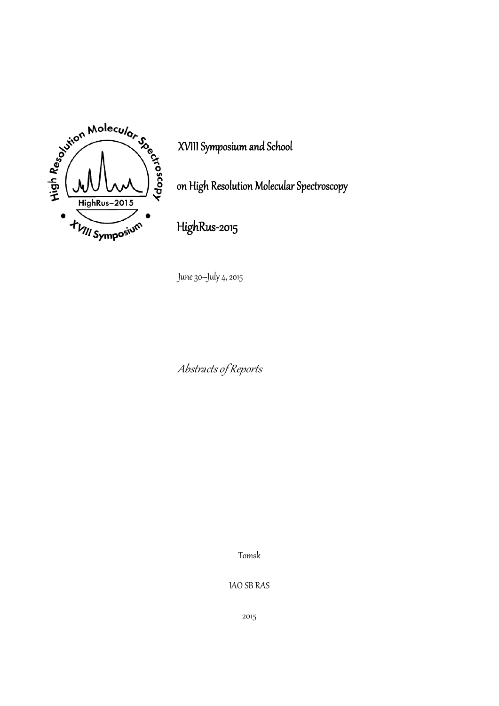

XVIII Symposium and School

on High Resolution Molecular Spectroscopy

HighRus‐2015

June 30–July 4, 2015

Abstracts of Reports

Tomsk

IAO SB RAS

2015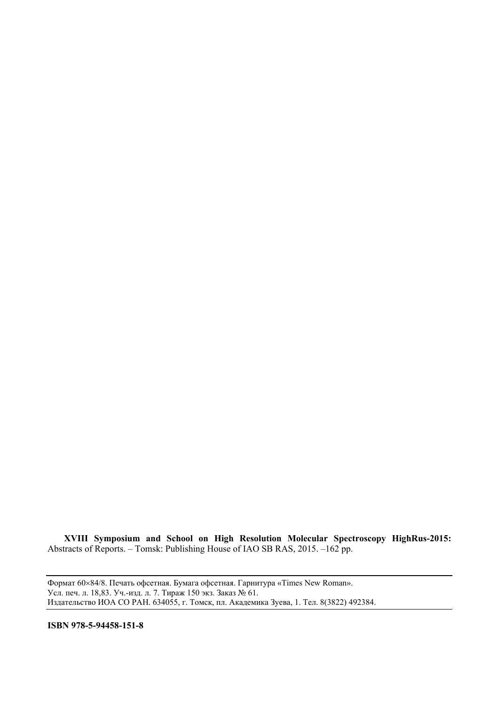**XVIII Symposium and School on High Resolution Molecular Spectroscopy HighRus-2015:** Abstracts of Reports. – Tomsk: Publishing House of IAO SB RAS, 2015. –162 pp.

Формат 6084/8. Печать офсетная. Бумага офсетная. Гарнитура «Times New Roman». Усл. печ. л. 18,83. Уч.-изд. л. 7. Тираж 150 экз. Заказ № 61. Издательство ИОА СО РАН. 634055, г. Томск, пл. Академика Зуева, 1. Тел. 8(3822) 492384.

**ISBN 978-5-94458-151-8**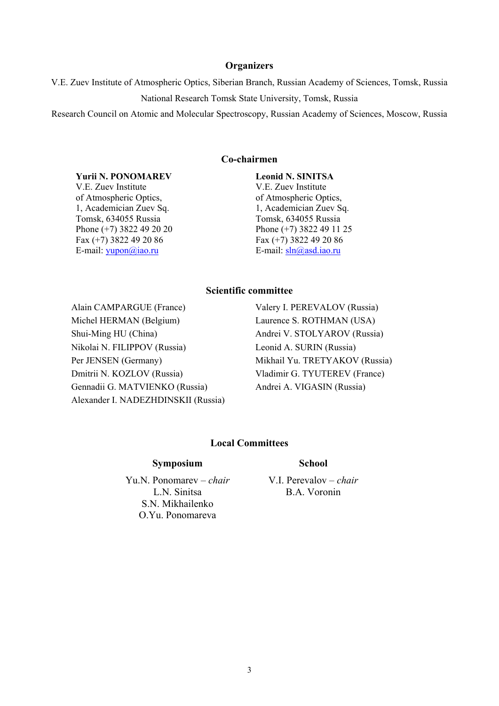### **Organizers**

V.E. Zuev Institute of Atmospheric Optics, Siberian Branch, Russian Academy of Sciences, Tomsk, Russia National Research Tomsk State University, Tomsk, Russia

Research Council on Atomic and Molecular Spectroscopy, Russian Academy of Sciences, Moscow, Russia

#### **Co-chairmen**

#### **Yurii N. PONOMAREV**

V.E. Zuev Institute of Atmospheric Optics, 1, Academician Zuev Sq. Tomsk, 634055 Russia Phone (+7) 3822 49 20 20 Fax (+7) 3822 49 20 86 E-mail: [yupon@iao.ru](mailto:yupon@iao.ru)

**Leonid N. SINITSA**  V.E. Zuev Institute of Atmospheric Optics, 1, Academician Zuev Sq. Tomsk, 634055 Russia Phone (+7) 3822 49 11 25 Fax (+7) 3822 49 20 86 E-mail: [sln@asd.iao.ru](mailto:sln@asd.iao.ru)

#### **Scientific committee**

Alain CAMPARGUE (France) Valery I. PEREVALOV (Russia) Michel HERMAN (Belgium) Laurence S. ROTHMAN (USA) Shui-Ming HU (China) Andrei V. STOLYAROV (Russia) Nikolai N. FILIPPOV (Russia) Leonid A. SURIN (Russia) Per JENSEN (Germany) Mikhail Yu. TRETYAKOV (Russia) Dmitrii N. KOZLOV (Russia) Vladimir G. TYUTEREV (France) Gennadii G. MATVIENKO (Russia) Andrei A. VIGASIN (Russia) Alexander I. NADEZHDINSKII (Russia)

#### **Local Committees**

#### **Symposium**

Yu.N. Ponomarev – *chair* L.N. Sinitsa S.N. Mikhailenko O.Yu. Ponomareva

#### **School**

V.I. Perevalov – *chair* B.A. Voronin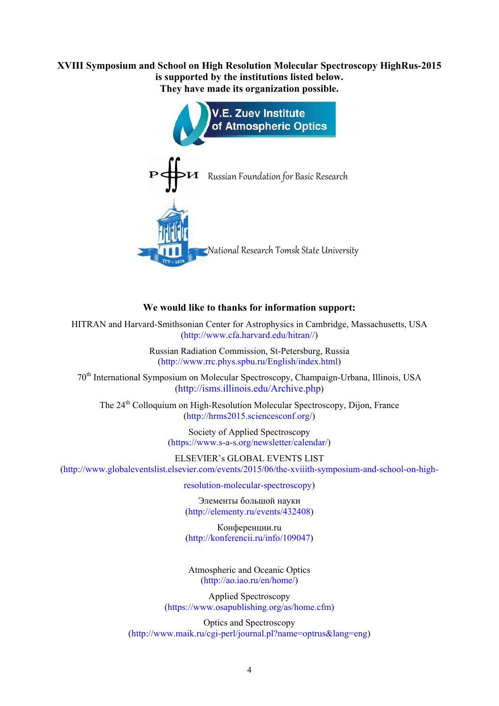**XVIII Symposium and School on High Resolution Molecular Spectroscopy HighRus-2015 is supported by the institutions listed below. They have made its organization possible.** 



## **We would like to thanks for information support:**

HITRAN and Harvard-Smithsonian Center for Astrophysics in Cambridge, Massachusetts, USA ([http://www.cfa.harvard.edu/hitran//\)](http://www.cfa.harvard.edu/hitran//)

> Russian Radiation Commission, St-Petersburg, Russia [\(http://www.rrc.phys.spbu.ru/English/index.html](http://www.rrc.phys.spbu.ru/English/index.html))

70<sup>th</sup> International Symposium on Molecular Spectroscopy, Champaign-Urbana, Illinois, USA ([http://isms.illinois.edu/Archive.php\)](http://isms.illinois.edu/Archive.php)

The 24<sup>th</sup> Colloquium on High-Resolution Molecular Spectroscopy, Dijon, France ([http://hrms2015.sciencesconf.org/\)](http://hrms2015.sciencesconf.org/)

> Society of Applied Spectroscopy [\(https://www.s-a-s.org/newsletter/calendar/](https://www.s-a-s.org/newsletter/calendar/))

ELSEVIER's GLOBAL EVENTS LIST ([http://www.globaleventslist.elsevier.com/events/2015/06/the-xviiith-symposium-and-school-on-high-](http://www.globaleventslist.elsevier.com/events/2015/06/the-xviiith-symposium-and-school-on-high-resolution-molecular-spectroscopy)

[resolution-molecular-spectroscopy](http://www.globaleventslist.elsevier.com/events/2015/06/the-xviiith-symposium-and-school-on-high-resolution-molecular-spectroscopy))

Элементы большой науки ([http://elementy.ru/events/432408\)](http://elementy.ru/events/432408)

Конференции.ru [\(http://konferencii.ru/info/109047](http://konferencii.ru/info/109047))

Atmospheric and Oceanic Optics [\(http://ao.iao.ru/en/home/](http://ao.iao.ru/en/home/))

Applied Spectroscopy [\(https://www.osapublishing.org/as/home.cfm](https://www.osapublishing.org/as/home.cfm))

Optics and Spectroscopy (<http://www.maik.ru/cgi-perl/journal.pl?name=optrus&lang=eng>)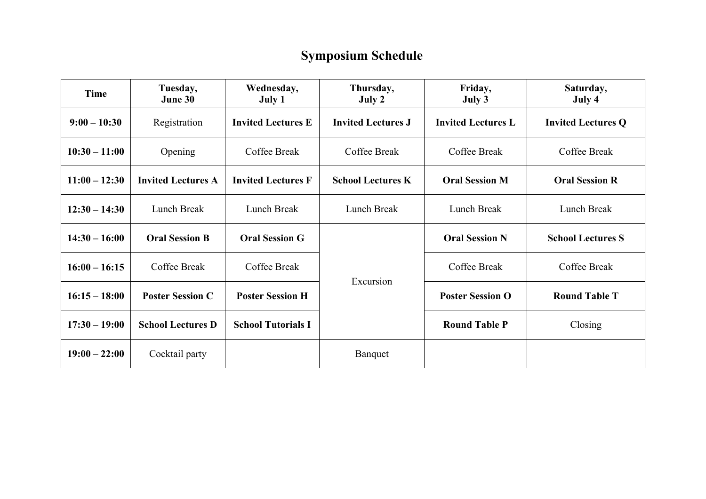# **Symposium Schedule**

| Time            | Tuesday,<br>June 30       | Wednesday,<br>July 1      | Thursday,<br>July 2       | Friday,<br>July 3         | Saturday,<br>July 4       |
|-----------------|---------------------------|---------------------------|---------------------------|---------------------------|---------------------------|
| $9:00 - 10:30$  | Registration              | <b>Invited Lectures E</b> | <b>Invited Lectures J</b> | <b>Invited Lectures L</b> | <b>Invited Lectures Q</b> |
| $10:30 - 11:00$ | Opening                   | Coffee Break              | Coffee Break              | Coffee Break              | Coffee Break              |
| $11:00 - 12:30$ | <b>Invited Lectures A</b> | <b>Invited Lectures F</b> | <b>School Lectures K</b>  | <b>Oral Session M</b>     | <b>Oral Session R</b>     |
| $12:30 - 14:30$ | Lunch Break               | Lunch Break               | Lunch Break               | Lunch Break               | Lunch Break               |
| $14:30 - 16:00$ | <b>Oral Session B</b>     | <b>Oral Session G</b>     | Excursion                 | <b>Oral Session N</b>     | <b>School Lectures S</b>  |
| $16:00 - 16:15$ | Coffee Break              | Coffee Break              |                           | Coffee Break              | Coffee Break              |
| $16:15 - 18:00$ | <b>Poster Session C</b>   | <b>Poster Session H</b>   |                           | <b>Poster Session O</b>   | <b>Round Table T</b>      |
| $17:30 - 19:00$ | <b>School Lectures D</b>  | <b>School Tutorials I</b> |                           | <b>Round Table P</b>      | Closing                   |
| $19:00 - 22:00$ | Cocktail party            |                           | Banquet                   |                           |                           |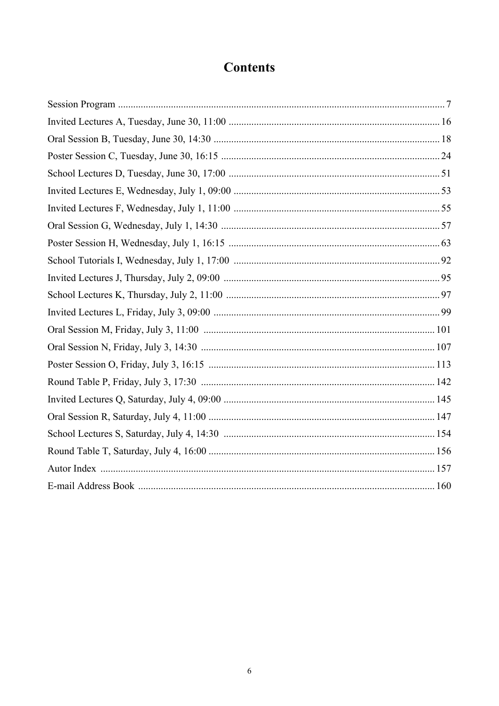# **Contents**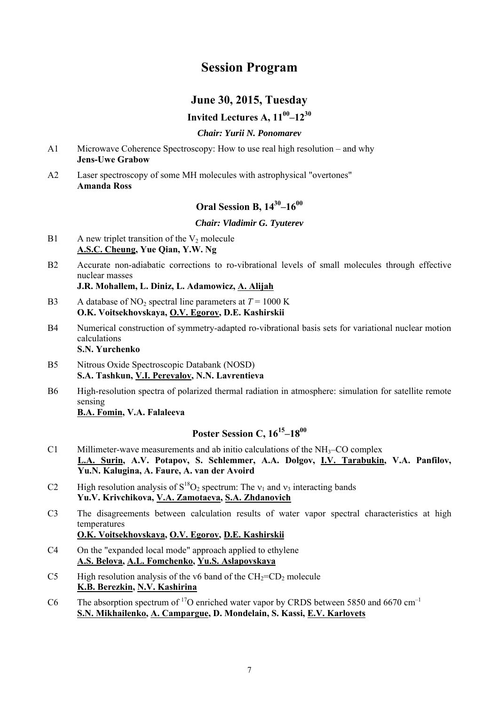# **Session Program**

# **June 30, 2015, Tuesday**

## **Invited Lectures A, 1100–1230**

## *Chair: Yurii N. Ponomarev*

- A1 Microwave Coherence Spectroscopy: How to use real high resolution and why **Jens-Uwe Grabow**
- A2 Laser spectroscopy of some MH molecules with astrophysical "overtones" **Amanda Ross**

## **Oral Session B, 1430–1600**

*Chair: Vladimir G. Tyuterev* 

- B1 A new triplet transition of the  $V_2$  molecule **A.S.C. Cheung, Yue Qian, Y.W. Ng**
- B2 Accurate non-adiabatic corrections to ro-vibrational levels of small molecules through effective nuclear masses

 **J.R. Mohallem, L. Diniz, L. Adamowicz, A. Alijah** 

- B3 A database of NO<sub>2</sub> spectral line parameters at  $T = 1000 \text{ K}$  **O.K. Voitsekhovskaya, O.V. Egorov, D.E. Kashirskii**
- B4 Numerical construction of symmetry-adapted ro-vibrational basis sets for variational nuclear motion calculations  **S.N. Yurchenko**
- B5 Nitrous Oxide Spectroscopic Databank (NOSD)  **S.A. Tashkun, V.I. Perevalov, N.N. Lavrentieva**
- B6 High-resolution spectra of polarized thermal radiation in atmosphere: simulation for satellite remote sensing

 **B.A. Fomin, V.A. Falaleeva** 

# **Poster Session C, 1615–1800**

- C1 Millimeter-wave measurements and ab initio calculations of the  $NH<sub>3</sub>$ –CO complex  **L.A. Surin, A.V. Potapov, S. Schlemmer, A.A. Dolgov, I.V. Tarabukin, V.A. Panfilov, Yu.N. Kalugina, A. Faure, A. van der Avoird**
- C2 High resolution analysis of  $S^{18}O_2$  spectrum: The  $v_1$  and  $v_3$  interacting bands  **Yu.V. Krivchikova, V.A. Zamotaeva, S.A. Zhdanovich**
- C3 The disagreements between calculation results of water vapor spectral characteristics at high temperatures

## **O.K. Voitsekhovskaya, O.V. Egorov, D.E. Kashirskii**

- C4 On the "expanded local mode" approach applied to ethylene  **A.S. Belova, A.L. Fomchenko, Yu.S. Aslapovskaya**
- C5 High resolution analysis of the v6 band of the  $CH_2=CD_2$  molecule  **K.B. Berezkin, N.V. Kashirina**
- C6 The absorption spectrum of <sup>17</sup>O enriched water vapor by CRDS between 5850 and 6670 cm<sup>-1</sup>  **S.N. Mikhailenko, A. Campargue, D. Mondelain, S. Kassi, E.V. Karlovets**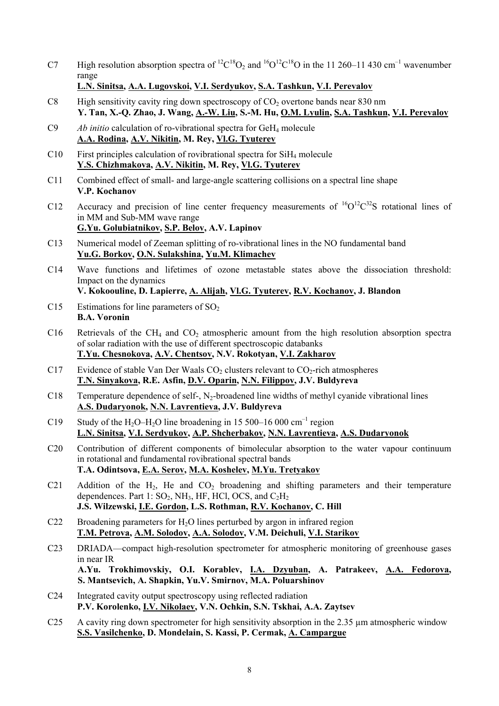- C7 High resolution absorption spectra of  ${}^{12}C^{18}O_2$  and  ${}^{16}O^{12}C^{18}O$  in the 11 260–11 430 cm<sup>-1</sup> wavenumber range
	- **L.N. Sinitsa, A.A. Lugovskoi, V.I. Serdyukov, S.A. Tashkun, V.I. Perevalov**
- C8 High sensitivity cavity ring down spectroscopy of  $CO<sub>2</sub>$  overtone bands near 830 nm  **Y. Tan, X.-Q. Zhao, J. Wang, A.-W. Liu, S.-M. Hu, O.M. Lyulin, S.A. Tashkun, V.I. Perevalov**
- C9 *Ab initio* calculation of ro-vibrational spectra for GeH4 molecule  **A.A. Rodina, A.V. Nikitin, M. Rey, Vl.G. Tyuterev**
- C10 First principles calculation of rovibrational spectra for  $SiH<sub>4</sub>$  molecule  **Y.S. Chizhmakova, A.V. Nikitin, M. Rey, Vl.G. Tyuterev**
- C11 Combined effect of small- and large-angle scattering collisions on a spectral line shape  **V.P. Kochanov**
- C12 Accuracy and precision of line center frequency measurements of  ${}^{16}O^{12}C^{32}S$  rotational lines of in MM and Sub-MM wave range  **G.Yu. Golubiatnikov, S.P. Belov, A.V. Lapinov**
- C13 Numerical model of Zeeman splitting of ro-vibrational lines in the NO fundamental band  **Yu.G. Borkov, O.N. Sulakshina, Yu.M. Klimachev**
- C14 Wave functions and lifetimes of ozone metastable states above the dissociation threshold: Impact on the dynamics
- **V. Kokoouline, D. Lapierre, A. Alijah, Vl.G. Tyuterev, R.V. Kochanov, J. Blandon**
- C15 Estimations for line parameters of  $SO<sub>2</sub>$  **B.A. Voronin**
- C16 Retrievals of the CH<sub>4</sub> and CO<sub>2</sub> atmospheric amount from the high resolution absorption spectra of solar radiation with the use of different spectroscopic databanks  **T.Yu. Chesnokova, A.V. Chentsov, N.V. Rokotyan, V.I. Zakharov**
- C17 Evidence of stable Van Der Waals  $CO<sub>2</sub>$  clusters relevant to  $CO<sub>2</sub>$ -rich atmospheres  **T.N. Sinyakova, R.E. Asfin, D.V. Oparin, N.N. Filippov, J.V. Buldyreva**
- C18 Temperature dependence of self-,  $N_2$ -broadened line widths of methyl cyanide vibrational lines  **A.S. Dudaryonok, N.N. Lavrentieva, J.V. Buldyreva**
- C19 Study of the H<sub>2</sub>O–H<sub>2</sub>O line broadening in 15 500–16 000 cm<sup>-1</sup> region  **L.N. Sinitsa, V.I. Serdyukov, A.P. Shcherbakov, N.N. Lavrentieva, A.S. Dudaryonok**
- C20 Contribution of different components of bimolecular absorption to the water vapour continuum in rotational and fundamental rovibrational spectral bands  **T.A. Odintsova, E.A. Serov, M.A. Koshelev, M.Yu. Tretyakov**
- C21 Addition of the H<sub>2</sub>, He and CO<sub>2</sub> broadening and shifting parameters and their temperature dependences. Part 1:  $SO_2$ , NH<sub>3</sub>, HF, HCl, OCS, and  $C_2H_2$  **J.S. Wilzewski, I.E. Gordon, L.S. Rothman, R.V. Kochanov, C. Hill**
- C22 Broadening parameters for H<sub>2</sub>O lines perturbed by argon in infrared region  **T.M. Petrova, A.M. Solodov, A.A. Solodov, V.M. Deichuli, V.I. Starikov**
- C23 DRIADA—compact high-resolution spectrometer for atmospheric monitoring of greenhouse gases in near IR  **A.Yu. Trokhimovskiy, O.I. Korablev, I.A. Dzyuban, A. Patrakeev, A.A. Fedorova, S. Mantsevich, A. Shapkin, Yu.V. Smirnov, M.A. Poluarshinov**
- C24 Integrated cavity output spectroscopy using reflected radiation  **P.V. Korolenko, I.V. Nikolaev, V.N. Ochkin, S.N. Tskhai, A.A. Zaytsev**
- C25 A cavity ring down spectrometer for high sensitivity absorption in the 2.35 µm atmospheric window  **S.S. Vasilchenko, D. Mondelain, S. Kassi, P. Cermak, A. Campargue**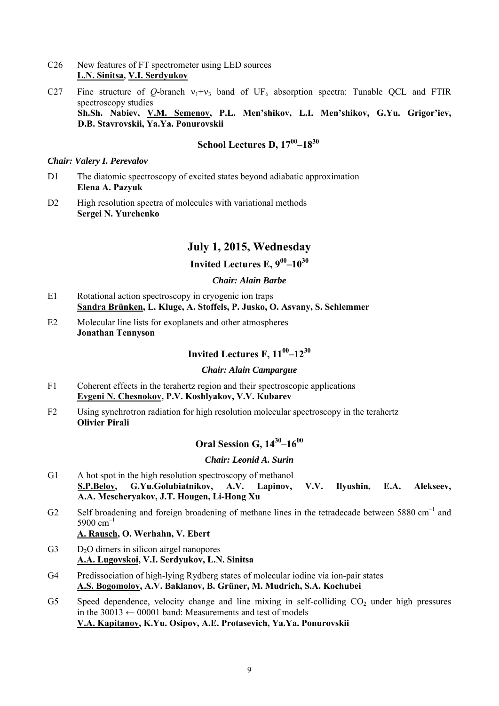- C26 New features of FT spectrometer using LED sources  **L.N. Sinitsa, V.I. Serdyukov**
- C27 Fine structure of O-branch  $v_1+v_3$  band of UF<sub>6</sub> absorption spectra: Tunable OCL and FTIR spectroscopy studies **Sh.Sh. Nabiev, V.M. Semenov, P.L. Men'shikov, L.I. Men'shikov, G.Yu. Grigor'iev, D.B. Stavrovskii, Ya.Ya. Ponurovskii**

# **School Lectures D, 17<sup>00</sup>–18<sup>30</sup>**

*Chair: Valery I. Perevalov* 

- D1 The diatomic spectroscopy of excited states beyond adiabatic approximation  **Elena A. Pazyuk**
- D<sub>2</sub> High resolution spectra of molecules with variational methods  **Sergei N. Yurchenko**

## **July 1, 2015, Wednesday**

## **Invited Lectures E, 900–1030**

## *Chair: Alain Barbe*

- E1 Rotational action spectroscopy in cryogenic ion traps  **Sandra Brünken, L. Kluge, A. Stoffels, P. Jusko, O. Asvany, S. Schlemmer**
- E2 Molecular line lists for exoplanets and other atmospheres  **Jonathan Tennyson**

# **Invited Lectures F, 1100–1230**

#### *Chair: Alain Campargue*

- F1 Coherent effects in the terahertz region and their spectroscopic applications  **Evgeni N. Chesnokov, P.V. Koshlyakov, V.V. Kubarev**
- F2 Using synchrotron radiation for high resolution molecular spectroscopy in the terahertz  **Olivier Pirali**

# **Oral Session G, 1430–1600**

#### *Chair: Leonid A. Surin*

- G1 A hot spot in the high resolution spectroscopy of methanol  **S.P.Belov, G.Yu.Golubiatnikov, A.V. Lapinov, V.V. Ilyushin, E.A. Alekseev, A.A. Mescheryakov, J.T. Hougen, Li-Hong Xu**
- G2 Self broadening and foreign broadening of methane lines in the tetradecade between 5880 cm<sup>-1</sup> and 5900 cm–1

#### **A. Rausch, O. Werhahn, V. Ebert**

- G3 D<sub>2</sub>O dimers in silicon airgel nanopores  **A.A. Lugovskoi, V.I. Serdyukov, L.N. Sinitsa**
- G4 Predissociation of high-lying Rydberg states of molecular iodine via ion-pair states  **A.S. Bogomolov, A.V. Baklanov, B. Grüner, M. Mudrich, S.A. Kochubei**
- G5 Speed dependence, velocity change and line mixing in self-colliding  $CO<sub>2</sub>$  under high pressures in the  $30013 \leftarrow 00001$  band: Measurements and test of models  **V.A. Kapitanov, K.Yu. Osipov, A.E. Protasevich, Ya.Ya. Ponurovskii**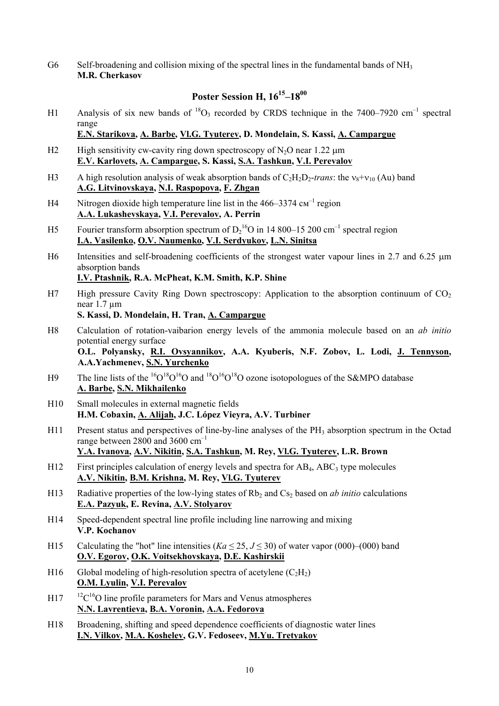G6 Self-broadening and collision mixing of the spectral lines in the fundamental bands of NH<sub>3</sub>  **M.R. Cherkasov** 

## **Poster Session H, 1615–1800**

H1 Analysis of six new bands of  ${}^{18}O_3$  recorded by CRDS technique in the 7400–7920 cm<sup>-1</sup> spectral range

 **E.N. Starikova, A. Barbe, Vl.G. Tyuterev, D. Mondelain, S. Kassi, A. Campargue** 

- H2 High sensitivity cw-cavity ring down spectroscopy of  $N_2O$  near 1.22  $\mu$ m  **E.V. Karlovets, A. Campargue, S. Kassi, S.A. Tashkun, V.I. Perevalov**
- H3 A high resolution analysis of weak absorption bands of  $C_2H_2D_2$ -*trans*: the  $v_8+v_{10}$  (Au) band  **A.G. Litvinovskaya, N.I. Raspopova, F. Zhgan**
- H4 Nitrogen dioxide high temperature line list in the  $466-3374 \text{ cm}^{-1}$  region  **A.A. Lukashevskaya, V.I. Perevalov, A. Perrin**
- H5 Fourier transform absorption spectrum of  $D_2^{16}O$  in 14 800–15 200 cm<sup>-1</sup> spectral region  **I.A. Vasilenko, O.V. Naumenko, V.I. Serdyukov, L.N. Sinitsa**
- H6 Intensities and self-broadening coefficients of the strongest water vapour lines in 2.7 and 6.25  $\mu$ m absorption bands

 **I.V. Ptashnik, R.A. McPheat, K.M. Smith, K.P. Shine** 

H7 High pressure Cavity Ring Down spectroscopy: Application to the absorption continuum of  $CO<sub>2</sub>$ near 1.7 µm

 **S. Kassi, D. Mondelain, H. Tran, A. Campargue** 

H8 Calculation of rotation-vaibarion energy levels of the ammonia molecule based on an *ab initio* potential energy surface

 **O.L. Polyansky, R.I. Ovsyannikov, A.A. Kyuberis, N.F. Zobov, L. Lodi, J. Tennyson, A.A.Yachmenev, S.N. Yurchenko**

- H9 The line lists of the  ${}^{16}O^{18}O$  and  ${}^{18}O^{16}O^{18}O$  ozone isotopologues of the S&MPO database  **A. Barbe, S.N. Mikhailenko**
- H10 Small molecules in external magnetic fields  **H.M. Cobaxin, A. Alijah, J.C. López Vieyra, A.V. Turbiner**
- H11 Present status and perspectives of line-by-line analyses of the PH<sub>3</sub> absorption spectrum in the Octad range between 2800 and 3600 cm<sup>-1</sup>  **Y.A. Ivanova, A.V. Nikitin, S.A. Tashkun, M. Rey, Vl.G. Tyuterev, L.R. Brown**
- H12 First principles calculation of energy levels and spectra for  $AB_4$ ,  $ABC_3$  type molecules  **A.V. Nikitin, B.M. Krishna, M. Rey, Vl.G. Tyuterev**
- H13 Radiative properties of the low-lying states of Rb<sub>2</sub> and Cs<sub>2</sub> based on *ab initio* calculations  **E.A. Pazyuk, E. Revina, A.V. Stolyarov**
- H14 Speed-dependent spectral line profile including line narrowing and mixing  **V.P. Kochanov**
- H15 Calculating the "hot" line intensities ( $Ka \le 25, J \le 30$ ) of water vapor (000)–(000) band  **O.V. Egorov, O.K. Voitsekhovskaya, D.E. Kashirskii**
- H16 Global modeling of high-resolution spectra of acetylene  $(C_2H_2)$  **O.M. Lyulin, V.I. Perevalov**
- $H17$   $12^1C^{16}O$  line profile parameters for Mars and Venus atmospheres  **N.N. Lavrentieva, B.A. Voronin, A.A. Fedorova**
- H18 Broadening, shifting and speed dependence coefficients of diagnostic water lines  **I.N. Vilkov, M.A. Koshelev, G.V. Fedoseev, M.Yu. Tretyakov**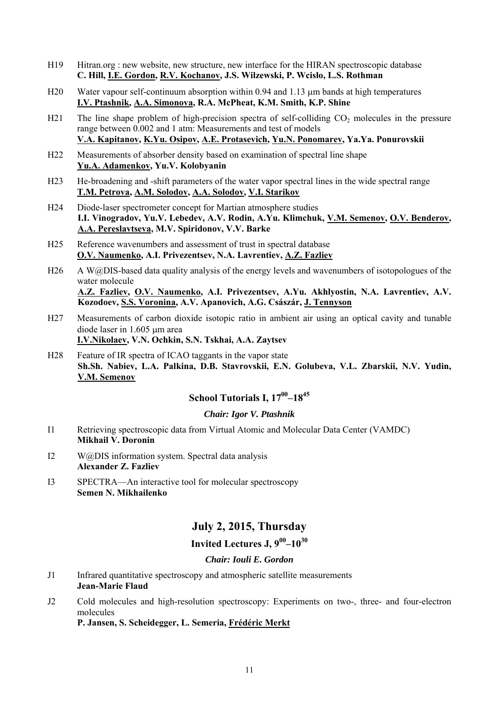- H19 Hitran.org : new website, new structure, new interface for the HIRAN spectroscopic database  **C. Hill, I.E. Gordon, R.V. Kochanov, J.S. Wilzewski, P. Wcisło, L.S. Rothman**
- H<sub>20</sub> Water vapour self-continuum absorption within 0.94 and 1.13 um bands at high temperatures  **I.V. Ptashnik, A.A. Simonova, R.A. McPheat, K.M. Smith, K.P. Shine**
- H21 The line shape problem of high-precision spectra of self-colliding CO<sub>2</sub> molecules in the pressure range between 0.002 and 1 atm: Measurements and test of models  **V.A. Kapitanov, K.Yu. Osipov, A.E. Protasevich, Yu.N. Ponomarev, Ya.Ya. Ponurovskii**
- H22 Measurements of absorber density based on examination of spectral line shape  **Yu.A. Adamenkov, Yu.V. Kolobyanin**
- H23 He-broadening and -shift parameters of the water vapor spectral lines in the wide spectral range  **T.M. Petrova, A.M. Solodov, A.A. Solodov, V.I. Starikov**
- H24 Diode-laser spectrometer concept for Martian atmosphere studies  **I.I. Vinogradov, Yu.V. Lebedev, A.V. Rodin, A.Yu. Klimchuk, V.M. Semenov, O.V. Benderov, A.A. Pereslavtseva, M.V. Spiridonov, V.V. Barke**
- H25 Reference wavenumbers and assessment of trust in spectral database  **O.V. Naumenko, A.I. Privezentsev, N.A. Lavrentiev, A.Z. Fazliev**
- H26 A W@DIS-based data quality analysis of the energy levels and wavenumbers of isotopologues of the water molecule

 **A.Z. Fazliev, O.V. Naumenko, A.I. Privezentsev, A.Yu. Akhlyostin, N.A. Lavrentiev, A.V. Kozodoev, S.S. Voronina, A.V. Apanovich, A.G. Császár, J. Tennyson**

- H27 Measurements of carbon dioxide isotopic ratio in ambient air using an optical cavity and tunable diode laser in 1.605 um area  **I.V.Nikolaev, V.N. Ochkin, S.N. Tskhai, A.A. Zaytsev**
- H28 Feature of IR spectra of ICAO taggants in the vapor state  **Sh.Sh. Nabiev, L.A. Palkina, D.B. Stavrovskii, E.N. Golubeva, V.L. Zbarskii, N.V. Yudin, V.M. Semenov**

# **School Tutorials I, 17<sup>00</sup>–18<sup>45</sup>**

## *Chair: Igor V. Ptashnik*

- I1 Retrieving spectroscopic data from Virtual Atomic and Molecular Data Center (VAMDC)  **Mikhail V. Doronin**
- I2 W@DIS information system. Spectral data analysis  **Alexander Z. Fazliev**
- I3 SPECTRA—An interactive tool for molecular spectroscopy  **Semen N. Mikhailenko**

# **July 2, 2015, Thursday**

## **Invited Lectures J, 900–1030**

## *Chair: Iouli E. Gordon*

- J1 Infrared quantitative spectroscopy and atmospheric satellite measurements  **Jean-Marie Flaud**
- J2 Cold molecules and high-resolution spectroscopy: Experiments on two-, three- and four-electron molecules

 **P. Jansen, S. Scheidegger, L. Semeria, Frédéric Merkt**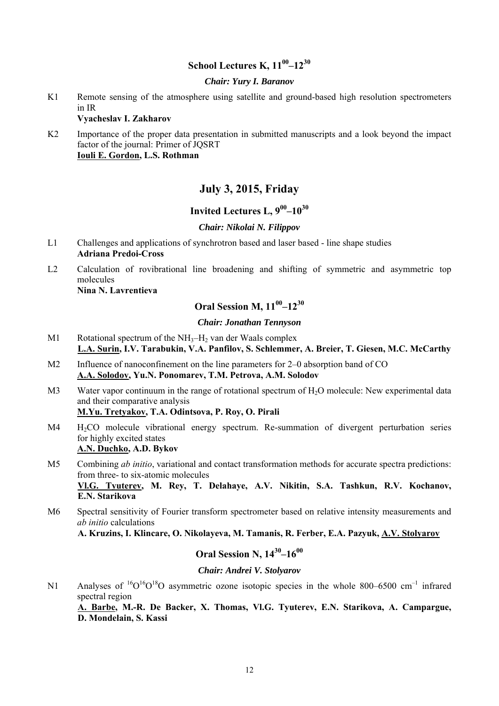## **School Lectures K, 1100–1230**

#### *Chair: Yury I. Baranov*

K1 Remote sensing of the atmosphere using satellite and ground-based high resolution spectrometers in IR

#### **Vyacheslav I. Zakharov**

K<sub>2</sub> Importance of the proper data presentation in submitted manuscripts and a look beyond the impact factor of the journal: Primer of JQSRT  **Iouli E. Gordon, L.S. Rothman** 

## **July 3, 2015, Friday**

## **Invited Lectures L, 900–1030**

## *Chair: Nikolai N. Filippov*

- L1 Challenges and applications of synchrotron based and laser based line shape studies  **Adriana Predoi-Cross**
- L2 Calculation of rovibrational line broadening and shifting of symmetric and asymmetric top molecules

 **Nina N. Lavrentieva** 

# **Oral Session M, 1100–1230**

## *Chair: Jonathan Tennyson*

- M1 Rotational spectrum of the  $NH_3-H_2$  van der Waals complex  **L.A. Surin, I.V. Tarabukin, V.A. Panfilov, S. Schlemmer, A. Breier, T. Giesen, M.C. McCarthy**
- M<sub>2</sub> Influence of nanoconfinement on the line parameters for 2–0 absorption band of CO  **A.A. Solodov, Yu.N. Ponomarev, T.M. Petrova, A.M. Solodov**
- M3 Water vapor continuum in the range of rotational spectrum of H<sub>2</sub>O molecule: New experimental data and their comparative analysis  **M.Yu. Tretyakov, T.A. Odintsova, P. Roy, O. Pirali**
- M4 H<sub>2</sub>CO molecule vibrational energy spectrum. Re-summation of divergent perturbation series for highly excited states  **A.N. Duchko, A.D. Bykov**

M5 Combining *ab initio*, variational and contact transformation methods for accurate spectra predictions: from three- to six-atomic molecules  **Vl.G. Tyuterev, M. Rey, T. Delahaye, A.V. Nikitin, S.A. Tashkun, R.V. Kochanov,** 

**E.N. Starikova** 

M6 Spectral sensitivity of Fourier transform spectrometer based on relative intensity measurements and *ab initio* calculations

 **A. Kruzins, I. Klincare, O. Nikolayeva, M. Tamanis, R. Ferber, E.A. Pazyuk, A.V. Stolyarov** 

# **Oral Session N, 1430–1600**

#### *Chair: Andrei V. Stolyarov*

N1 Analyses of <sup>16</sup>O<sup>16</sup>O<sup>18</sup>O asymmetric ozone isotopic species in the whole 800–6500 cm<sup>-1</sup> infrared spectral region  **A. Barbe, M.-R. De Backer, X. Thomas, Vl.G. Tyuterev, E.N. Starikova, A. Campargue, D. Mondelain, S. Kassi**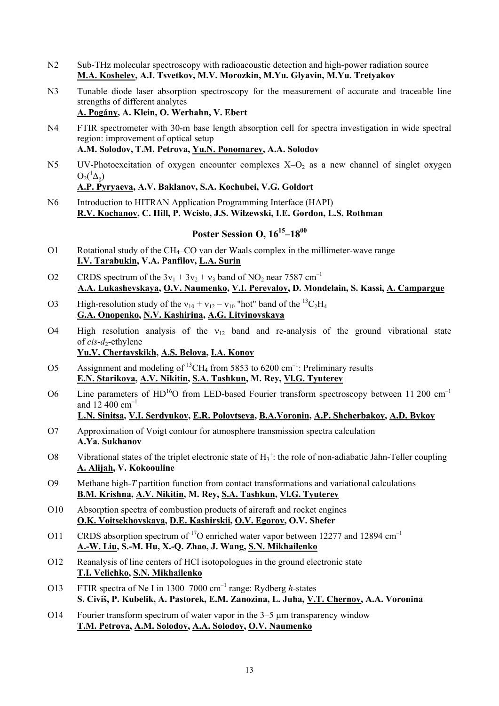- N2 Sub-THz molecular spectroscopy with radioacoustic detection and high-power radiation source  **M.A. Koshelev, A.I. Tsvetkov, M.V. Morozkin, M.Yu. Glyavin, M.Yu. Tretyakov**
- N3 Tunable diode laser absorption spectroscopy for the measurement of accurate and traceable line strengths of different analytes

 **A. Pogány, A. Klein, O. Werhahn, V. Ebert** 

- N4 FTIR spectrometer with 30-m base length absorption cell for spectra investigation in wide spectral region: improvement of optical setup  **A.M. Solodov, T.M. Petrova, Yu.N. Ponomarev, A.A. Solodov**
- N5 UV-Photoexcitation of oxygen encounter complexes  $X-O_2$  as a new channel of singlet oxygen  $O_2(^1\Delta_g)$  **A.P. Pyryaeva, A.V. Baklanov, S.A. Kochubei, V.G. Goldort**
- N6 Introduction to HITRAN Application Programming Interface (HAPI)  **R.V. Kochanov, C. Hill, P. Wcisło, J.S. Wilzewski, I.E. Gordon, L.S. Rothman**

# **Poster Session O, 16<sup>15</sup>–18<sup>00</sup>**

- O1 Rotational study of the CH4–CO van der Waals complex in the millimeter-wave range  **I.V. Tarabukin, V.A. Panfilov, L.A. Surin**
- O2 CRDS spectrum of the  $3v_1 + 3v_2 + v_3$  band of NO<sub>2</sub> near 7587 cm<sup>-1</sup>  **A.A. Lukashevskaya, O.V. Naumenko, V.I. Perevalov, D. Mondelain, S. Kassi, A. Campargue**
- O3 High-resolution study of the  $v_{10} + v_{12} v_{10}$  "hot" band of the <sup>13</sup>C<sub>2</sub>H<sub>4</sub>  **G.A. Onopenko, N.V. Kashirina, A.G. Litvinovskaya**
- O4 High resolution analysis of the  $v_{12}$  band and re-analysis of the ground vibrational state of *cis-d*<sub>2</sub>-ethylene  **Yu.V. Chertavskikh, A.S. Belova, I.A. Konov**
- O5 Assignment and modeling of <sup>13</sup>CH<sub>4</sub> from 5853 to 6200 cm<sup>-1</sup>: Preliminary results  **E.N. Starikova, A.V. Nikitin, S.A. Tashkun, M. Rey, Vl.G. Tyuterev**
- O6 Line parameters of  $HD^{16}O$  from LED-based Fourier transform spectroscopy between 11 200 cm<sup>-1</sup> and  $12\,400\,\text{cm}^{-1}$

#### **L.N. Sinitsa, V.I. Serdyukov, E.R. Polovtseva, B.A.Voronin, A.P. Shcherbakov, A.D. Bykov**

- O7 Approximation of Voigt contour for atmosphere transmission spectra calculation  **A.Ya. Sukhanov**
- O8 Vibrational states of the triplet electronic state of  $H_3^{\dagger}$ : the role of non-adiabatic Jahn-Teller coupling  **A. Alijah, V. Kokoouline**
- O9 Methane high-*T* partition function from contact transformations and variational calculations  **B.M. Krishna, A.V. Nikitin, M. Rey, S.A. Tashkun, Vl.G. Tyuterev**
- O10 Absorption spectra of combustion products of aircraft and rocket engines  **O.K. Voitsekhovskaya, D.E. Kashirskii, O.V. Egorov, O.V. Shefer**
- O11 CRDS absorption spectrum of <sup>17</sup>O enriched water vapor between 12277 and 12894 cm<sup>-1</sup>  **A.-W. Liu, S.-M. Hu, X.-Q. Zhao, J. Wang, S.N. Mikhailenko**
- O12 Reanalysis of line centers of HCl isotopologues in the ground electronic state  **T.I. Velichko, S.N. Mikhailenko**
- O13 FTIR spectra of Ne I in 1300–7000 cm–1 range: Rydberg *h*-states  **S. Civiš, P. Kubelik, A. Pastorek, E.M. Zanozina, L. Juha, V.T. Chernov, A.A. Voronina**
- O14 Fourier transform spectrum of water vapor in the  $3-5$  µm transparency window  **T.M. Petrova, A.M. Solodov, A.A. Solodov, O.V. Naumenko**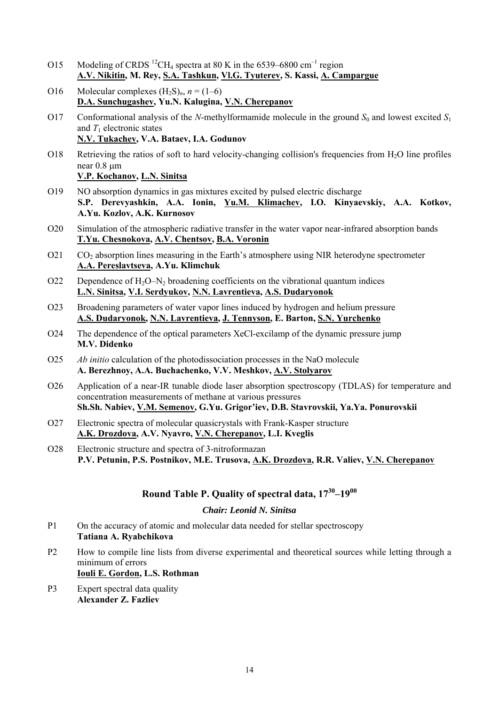- O15 Modeling of CRDS <sup>12</sup>CH<sub>4</sub> spectra at 80 K in the 6539–6800 cm<sup>-1</sup> region  **A.V. Nikitin, M. Rey, S.A. Tashkun, Vl.G. Tyuterev, S. Kassi, A. Campargue**
- O16 Molecular complexes  $(H_2S)_n$ ,  $n = (1-6)$  **D.A. Sunchugashev, Yu.N. Kalugina, V.N. Cherepanov**
- O17 Conformational analysis of the *N*-methylformamide molecule in the ground  $S_0$  and lowest excited  $S_1$ and  $T_1$  electronic states  **N.V. Tukachev, V.A. Bataev, I.A. Godunov**
- O18 Retrieving the ratios of soft to hard velocity-changing collision's frequencies from H<sub>2</sub>O line profiles near 0.8 um  **V.P. Kochanov, L.N. Sinitsa**
- O19 NO absorption dynamics in gas mixtures excited by pulsed electric discharge  **S.P. Derevyashkin, A.A. Ionin, Yu.M. Klimachev, I.O. Kinyaevskiy, A.A. Kotkov, A.Yu. Kozlov, A.K. Kurnosov**
- O20 Simulation of the atmospheric radiative transfer in the water vapor near-infrared absorption bands  **T.Yu. Chesnokova, A.V. Chentsov, B.A. Voronin**
- O21 CO<sub>2</sub> absorption lines measuring in the Earth's atmosphere using NIR heterodyne spectrometer  **A.A. Pereslavtseva, A.Yu. Klimchuk**
- O22 Dependence of  $H_2O-N_2$  broadening coefficients on the vibrational quantum indices  **L.N. Sinitsa, V.I. Serdyukov, N.N. Lavrentieva, A.S. Dudaryonok**
- O23 Broadening parameters of water vapor lines induced by hydrogen and helium pressure  **A.S. Dudaryonok, N.N. Lavrentieva, J. Tennyson, E. Barton, S.N. Yurchenko**
- O24 The dependence of the optical parameters XeCl-excilamp of the dynamic pressure jump  **M.V. Didenko**
- O25 *Ab initio* calculation of the photodissociation processes in the NaO molecule  **A. Berezhnoy, A.A. Buchachenko, V.V. Meshkov, A.V. Stolyarov**
- O26 Application of a near-IR tunable diode laser absorption spectroscopy (TDLAS) for temperature and concentration measurements of methane at various pressures  **Sh.Sh. Nabiev, V.M. Semenov, G.Yu. Grigor'iev, D.B. Stavrovskii, Ya.Ya. Ponurovskii**
- O27 Electronic spectra of molecular quasicrystals with Frank-Kasper structure  **A.K. Drozdova, A.V. Nyavro, V.N. Cherepanov, L.I. Kveglis**
- O28 Electronic structure and spectra of 3-nitroformazan  **P.V. Petunin, P.S. Postnikov, M.E. Trusova, A.K. Drozdova, R.R. Valiev, V.N. Cherepanov**

## **Round Table P. Quality of spectral data, 1730–1900**

## *Chair: Leonid N. Sinitsa*

- P1 On the accuracy of atomic and molecular data needed for stellar spectroscopy  **Tatiana A. Ryabchikova**
- P2 How to compile line lists from diverse experimental and theoretical sources while letting through a minimum of errors

 **Iouli E. Gordon, L.S. Rothman** 

P3 Expert spectral data quality  **Alexander Z. Fazliev**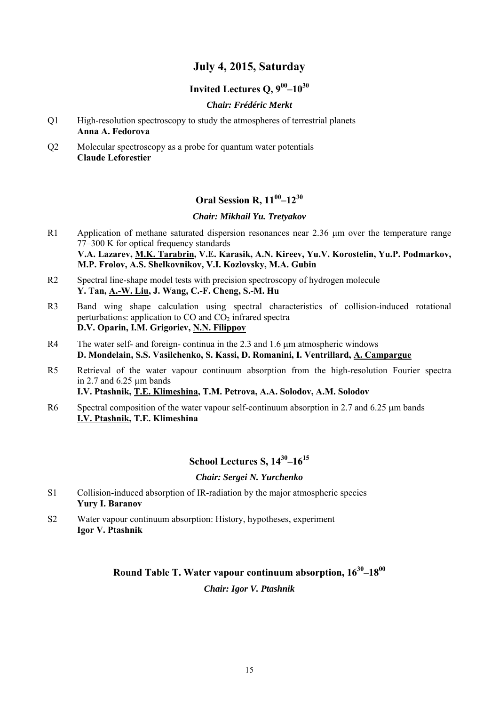## **July 4, 2015, Saturday**

## **Invited Lectures O,**  $9^{00} - 10^{30}$

## *Chair: Frédéric Merkt*

- Q1 High-resolution spectroscopy to study the atmospheres of terrestrial planets  **Anna A. Fedorova**
- Q2 Molecular spectroscopy as a probe for quantum water potentials **Claude Leforestier**

# **Oral Session R, 1100–1230**

## *Chair: Mikhail Yu. Tretyakov*

- R1 Application of methane saturated dispersion resonances near  $2.36 \mu m$  over the temperature range 77–300 K for optical frequency standards  **V.A. Lazarev, M.K. Tarabrin, V.E. Karasik, A.N. Kireev, Yu.V. Korostelin, Yu.P. Podmarkov, M.P. Frolov, A.S. Shelkovnikov, V.I. Kozlovsky, M.A. Gubin**
- R2 Spectral line-shape model tests with precision spectroscopy of hydrogen molecule  **Y. Tan, A.-W. Liu, J. Wang, C.-F. Cheng, S.-M. Hu**
- R3 Band wing shape calculation using spectral characteristics of collision-induced rotational perturbations: application to  $CO$  and  $CO<sub>2</sub>$  infrared spectra  **D.V. Oparin, I.M. Grigoriev, N.N. Filippov**
- R4 The water self- and foreign- continua in the 2.3 and 1.6  $\mu$ m atmospheric windows  **D. Mondelain, S.S. Vasilchenko, S. Kassi, D. Romanini, I. Ventrillard, A. Campargue**
- R5 Retrieval of the water vapour continuum absorption from the high-resolution Fourier spectra in 2.7 and  $6.25 \mu m$  bands  **I.V. Ptashnik, T.E. Klimeshina, T.M. Petrova, A.A. Solodov, A.M. Solodov**
- R6 Spectral composition of the water vapour self-continuum absorption in 2.7 and 6.25  $\mu$ m bands **I.V. Ptashnik, T.E. Klimeshina**

# **School Lectures S, 1430–1615**

#### *Chair: Sergei N. Yurchenko*

- S1 Collision-induced absorption of IR-radiation by the major atmospheric species  **Yury I. Baranov**
- S2 Water vapour continuum absorption: History, hypotheses, experiment  **Igor V. Ptashnik**

## **Round Table T. Water vapour continuum absorption, 1630–1800**

*Chair: Igor V. Ptashnik*